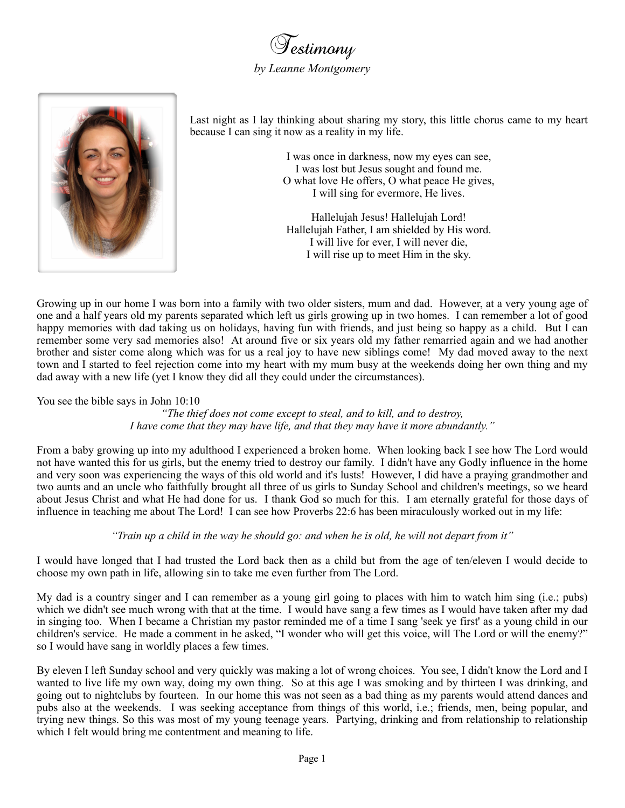Testimony *by Leanne Montgomery*



Last night as I lay thinking about sharing my story, this little chorus came to my heart because I can sing it now as a reality in my life.

> I was once in darkness, now my eyes can see, I was lost but Jesus sought and found me. O what love He offers, O what peace He gives, I will sing for evermore, He lives.

Hallelujah Jesus! Hallelujah Lord! Hallelujah Father, I am shielded by His word. I will live for ever, I will never die, I will rise up to meet Him in the sky.

Growing up in our home I was born into a family with two older sisters, mum and dad. However, at a very young age of one and a half years old my parents separated which left us girls growing up in two homes. I can remember a lot of good happy memories with dad taking us on holidays, having fun with friends, and just being so happy as a child. But I can remember some very sad memories also! At around five or six years old my father remarried again and we had another brother and sister come along which was for us a real joy to have new siblings come! My dad moved away to the next town and I started to feel rejection come into my heart with my mum busy at the weekends doing her own thing and my dad away with a new life (yet I know they did all they could under the circumstances).

You see the bible says in John 10:10

*"The thief does not come except to steal, and to kill, and to destroy, I have come that they may have life, and that they may have it more abundantly."*

From a baby growing up into my adulthood I experienced a broken home. When looking back I see how The Lord would not have wanted this for us girls, but the enemy tried to destroy our family. I didn't have any Godly influence in the home and very soon was experiencing the ways of this old world and it's lusts! However, I did have a praying grandmother and two aunts and an uncle who faithfully brought all three of us girls to Sunday School and children's meetings, so we heard about Jesus Christ and what He had done for us. I thank God so much for this. I am eternally grateful for those days of influence in teaching me about The Lord! I can see how Proverbs 22:6 has been miraculously worked out in my life:

*"Train up a child in the way he should go: and when he is old, he will not depart from it"*

I would have longed that I had trusted the Lord back then as a child but from the age of ten/eleven I would decide to choose my own path in life, allowing sin to take me even further from The Lord.

My dad is a country singer and I can remember as a young girl going to places with him to watch him sing (i.e.; pubs) which we didn't see much wrong with that at the time. I would have sang a few times as I would have taken after my dad in singing too. When I became a Christian my pastor reminded me of a time I sang 'seek ye first' as a young child in our children's service. He made a comment in he asked, "I wonder who will get this voice, will The Lord or will the enemy?" so I would have sang in worldly places a few times.

By eleven I left Sunday school and very quickly was making a lot of wrong choices. You see, I didn't know the Lord and I wanted to live life my own way, doing my own thing. So at this age I was smoking and by thirteen I was drinking, and going out to nightclubs by fourteen. In our home this was not seen as a bad thing as my parents would attend dances and pubs also at the weekends. I was seeking acceptance from things of this world, i.e.; friends, men, being popular, and trying new things. So this was most of my young teenage years. Partying, drinking and from relationship to relationship which I felt would bring me contentment and meaning to life.